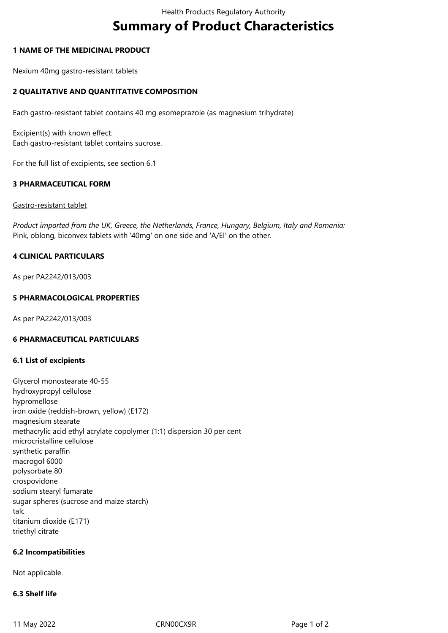# **Summary of Product Characteristics**

## **1 NAME OF THE MEDICINAL PRODUCT**

Nexium 40mg gastro-resistant tablets

## **2 QUALITATIVE AND QUANTITATIVE COMPOSITION**

Each gastro-resistant tablet contains 40 mg esomeprazole (as magnesium trihydrate)

Excipient(s) with known effect: Each gastro-resistant tablet contains sucrose.

For the full list of excipients, see section 6.1

## **3 PHARMACEUTICAL FORM**

#### Gastro-resistant tablet

*Product imported from the UK, Greece, the Netherlands, France, Hungary, Belgium, Italy and Romania:* Pink, oblong, biconvex tablets with '40mg' on one side and 'A/EI' on the other.

## **4 CLINICAL PARTICULARS**

As per PA2242/013/003

## **5 PHARMACOLOGICAL PROPERTIES**

As per PA2242/013/003

## **6 PHARMACEUTICAL PARTICULARS**

## **6.1 List of excipients**

Glycerol monostearate 40-55 hydroxypropyl cellulose hypromellose iron oxide (reddish-brown, yellow) (E172) magnesium stearate methacrylic acid ethyl acrylate copolymer (1:1) dispersion 30 per cent microcristalline cellulose synthetic paraffin macrogol 6000 polysorbate 80 crospovidone sodium stearyl fumarate sugar spheres (sucrose and maize starch) talc titanium dioxide (E171) triethyl citrate

## **6.2 Incompatibilities**

Not applicable.

## **6.3 Shelf life**